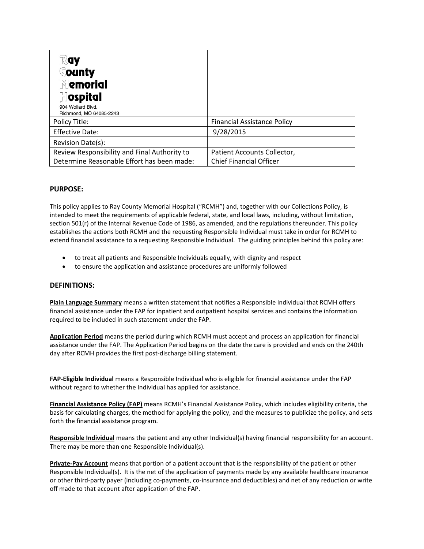| $\mathbb{R}$ ay<br><b>County</b><br>$\mathbb N$ emorial<br><b>hospital</b><br>904 Wollard Blvd.<br>Richmond, MO 64085-2243 |                                                               |
|----------------------------------------------------------------------------------------------------------------------------|---------------------------------------------------------------|
| Policy Title:                                                                                                              | <b>Financial Assistance Policy</b>                            |
| <b>Effective Date:</b>                                                                                                     | 9/28/2015                                                     |
| Revision Date(s):                                                                                                          |                                                               |
| Review Responsibility and Final Authority to<br>Determine Reasonable Effort has been made:                                 | Patient Accounts Collector,<br><b>Chief Financial Officer</b> |

## **PURPOSE:**

This policy applies to Ray County Memorial Hospital ("RCMH") and, together with our Collections Policy, is intended to meet the requirements of applicable federal, state, and local laws, including, without limitation, section 501(r) of the Internal Revenue Code of 1986, as amended, and the regulations thereunder. This policy establishes the actions both RCMH and the requesting Responsible Individual must take in order for RCMH to extend financial assistance to a requesting Responsible Individual. The guiding principles behind this policy are:

- to treat all patients and Responsible Individuals equally, with dignity and respect
- to ensure the application and assistance procedures are uniformly followed

#### **DEFINITIONS:**

**Plain Language Summary** means a written statement that notifies a Responsible Individual that RCMH offers financial assistance under the FAP for inpatient and outpatient hospital services and contains the information required to be included in such statement under the FAP.

**Application Period** means the period during which RCMH must accept and process an application for financial assistance under the FAP. The Application Period begins on the date the care is provided and ends on the 240th day after RCMH provides the first post-discharge billing statement.

**FAP-Eligible Individual** means a Responsible Individual who is eligible for financial assistance under the FAP without regard to whether the Individual has applied for assistance.

**Financial Assistance Policy (FAP)** means RCMH's Financial Assistance Policy, which includes eligibility criteria, the basis for calculating charges, the method for applying the policy, and the measures to publicize the policy, and sets forth the financial assistance program.

**Responsible Individual** means the patient and any other Individual(s) having financial responsibility for an account. There may be more than one Responsible Individual(s).

**Private-Pay Account** means that portion of a patient account that is the responsibility of the patient or other Responsible Individual(s). It is the net of the application of payments made by any available healthcare insurance or other third-party payer (including co-payments, co-insurance and deductibles) and net of any reduction or write off made to that account after application of the FAP.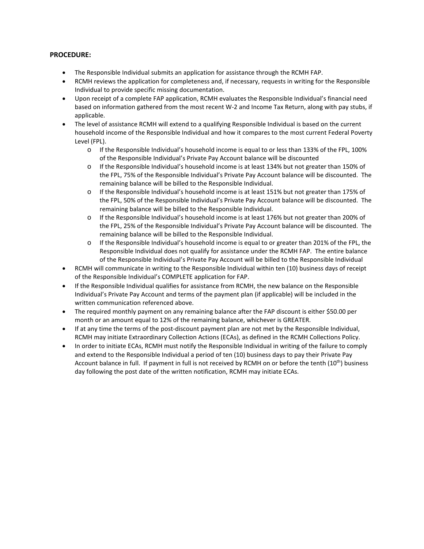#### **PROCEDURE:**

- The Responsible Individual submits an application for assistance through the RCMH FAP.
- RCMH reviews the application for completeness and, if necessary, requests in writing for the Responsible Individual to provide specific missing documentation.
- Upon receipt of a complete FAP application, RCMH evaluates the Responsible Individual's financial need based on information gathered from the most recent W-2 and Income Tax Return, along with pay stubs, if applicable.
- The level of assistance RCMH will extend to a qualifying Responsible Individual is based on the current household income of the Responsible Individual and how it compares to the most current Federal Poverty Level (FPL).
	- o If the Responsible Individual's household income is equal to or less than 133% of the FPL, 100% of the Responsible Individual's Private Pay Account balance will be discounted
	- o If the Responsible Individual's household income is at least 134% but not greater than 150% of the FPL, 75% of the Responsible Individual's Private Pay Account balance will be discounted. The remaining balance will be billed to the Responsible Individual.
	- o If the Responsible Individual's household income is at least 151% but not greater than 175% of the FPL, 50% of the Responsible Individual's Private Pay Account balance will be discounted. The remaining balance will be billed to the Responsible Individual.
	- o If the Responsible Individual's household income is at least 176% but not greater than 200% of the FPL, 25% of the Responsible Individual's Private Pay Account balance will be discounted. The remaining balance will be billed to the Responsible Individual.
	- o If the Responsible Individual's household income is equal to or greater than 201% of the FPL, the Responsible Individual does not qualify for assistance under the RCMH FAP. The entire balance of the Responsible Individual's Private Pay Account will be billed to the Responsible Individual
- RCMH will communicate in writing to the Responsible Individual within ten (10) business days of receipt of the Responsible Individual's COMPLETE application for FAP.
- If the Responsible Individual qualifies for assistance from RCMH, the new balance on the Responsible Individual's Private Pay Account and terms of the payment plan (if applicable) will be included in the written communication referenced above.
- The required monthly payment on any remaining balance after the FAP discount is either \$50.00 per month or an amount equal to 12% of the remaining balance, whichever is GREATER.
- If at any time the terms of the post-discount payment plan are not met by the Responsible Individual, RCMH may initiate Extraordinary Collection Actions (ECAs), as defined in the RCMH Collections Policy.
- In order to initiate ECAs, RCMH must notify the Responsible Individual in writing of the failure to comply and extend to the Responsible Individual a period of ten (10) business days to pay their Private Pay Account balance in full. If payment in full is not received by RCMH on or before the tenth (10<sup>th</sup>) business day following the post date of the written notification, RCMH may initiate ECAs.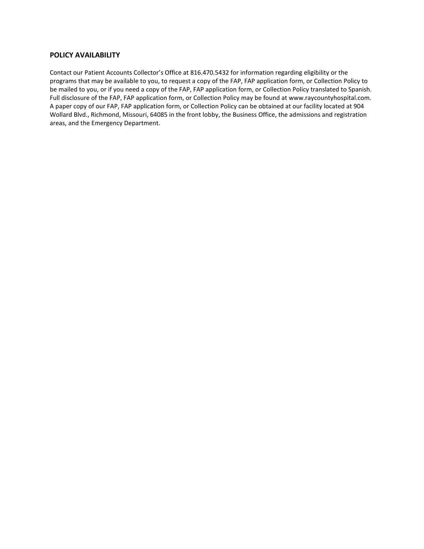### **POLICY AVAILABILITY**

Contact our Patient Accounts Collector's Office at 816.470.5432 for information regarding eligibility or the programs that may be available to you, to request a copy of the FAP, FAP application form, or Collection Policy to be mailed to you, or if you need a copy of the FAP, FAP application form, or Collection Policy translated to Spanish. Full disclosure of the FAP, FAP application form, or Collection Policy may be found at www.raycountyhospital.com. A paper copy of our FAP, FAP application form, or Collection Policy can be obtained at our facility located at 904 Wollard Blvd., Richmond, Missouri, 64085 in the front lobby, the Business Office, the admissions and registration areas, and the Emergency Department.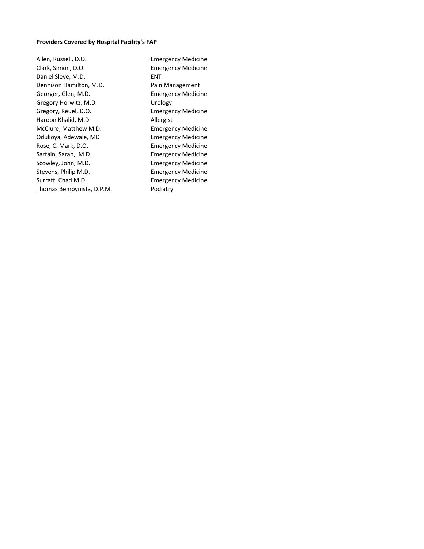# **Providers Covered by Hospital Facility's FAP**

Allen, Russell, D.O. Emergency Medicine Clark, Simon, D.O. Emergency Medicine Daniel Sleve, M.D. **ENT** Dennison Hamilton, M.D. Pain Management Georger, Glen, M.D. Emergency Medicine Gregory Horwitz, M.D. Sand Museum Urology Gregory, Reuel, D.O. Emergency Medicine Haroon Khalid, M.D. Allergist McClure, Matthew M.D. Emergency Medicine Odukoya, Adewale, MD Emergency Medicine Rose, C. Mark, D.O. Emergency Medicine Sartain, Sarah,, M.D. **Emergency Medicine** Scowley, John, M.D. **Emergency Medicine** Stevens, Philip M.D. **Emergency Medicine** Surratt, Chad M.D. **Emergency Medicine** Thomas Bembynista, D.P.M. Podiatry